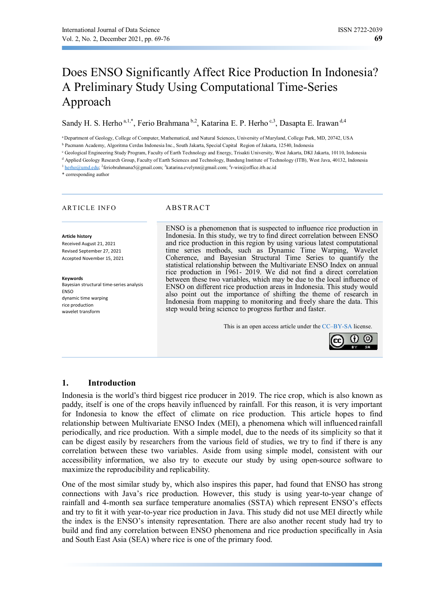# Does ENSO Significantly Affect Rice Production In Indonesia? A Preliminary Study Using Computational Time-Series Approach

Sandy H. S. Herho<sup>a, 1,\*</sup>, Ferio Brahmana<sup>b, 2</sup>, Katarina E. P. Herho<sup>c, 3</sup>, Dasapta E. Irawan<sup>d, 4</sup>

aDepartment of Geology, College of Computer, Mathematical, and Natural Sciences, University of Maryland, College Park, MD, 20742, USA

b Pacmann Academy, Algoritma Cerdas Indonesia Inc., South Jakarta, Special Capital Region of Jakarta, 12540, Indonesia

c Geological Engineering Study Program, Faculty of Earth Technology and Energy, Trisakti University, West Jakarta, DKI Jakarta, 10110, Indonesia

<sup>d</sup> Applied Geology Research Group, Faculty of Earth Sciences and Technology, Bandung Institute of Technology (ITB), West Java, 40132, Indonesia

<sup>1</sup> herho@umd.edu; <sup>2</sup>feriobrahmana5@gmail.com; <sup>3</sup>katarina.evelynn@gmail.com; <sup>4</sup>r-win@office.itb.ac.id

\* corresponding author

#### ARTICLE INFO<br>
ABSTRACT

#### **Article history**

Received August 21, 2021 Revised September 27, 2021 Accepted November 15, 2021

**Keywords**  Bayesian structural time-series analysis ENSO dynamic time warping rice production wavelet transform

ENSO is a phenomenon that is suspected to influence rice production in Indonesia. In this study, we try to find direct correlation between ENSO and rice production in this region by using various latest computational time series methods, such as Dynamic Time Warping, Wavelet Coherence, and Bayesian Structural Time Series to quantify the statistical relationship between the Multivariate ENSO Index on annual rice production in 1961- 2019. We did not find a direct correlation between these two variables, which may be due to the local influence of ENSO on different rice production areas in Indonesia. This study would also point out the importance of shifting the theme of research in Indonesia from mapping to monitoring and freely share the data. This step would bring science to progress further and faster.

This is an open access article under the CC–BY-SA license.



# **1. Introduction**

Indonesia is the world's third biggest rice producer in 2019. The rice crop, which is also known as paddy, itself is one of the crops heavily influenced by rainfall. For this reason, it is very important for Indonesia to know the effect of climate on rice production. This article hopes to find relationship between Multivariate ENSO Index (MEI), a phenomena which will influenced rainfall periodically, and rice production. With a simple model, due to the needs of its simplicity so that it can be digest easily by researchers from the various field of studies, we try to find if there is any correlation between these two variables. Aside from using simple model, consistent with our accessibility information, we also try to execute our study by using open-source software to maximize the reproducibility and replicability.

One of the most similar study by, which also inspires this paper, had found that ENSO has strong connections with Java's rice production. However, this study is using year-to-year change of rainfall and 4-month sea surface temperature anomalies (SSTA) which represent ENSO's effects and try to fit it with year-to-year rice production in Java. This study did not use MEI directly while the index is the ENSO's intensity representation. There are also another recent study had try to build and find any correlation between ENSO phenomena and rice production specifically in Asia and South East Asia (SEA) where rice is one of the primary food.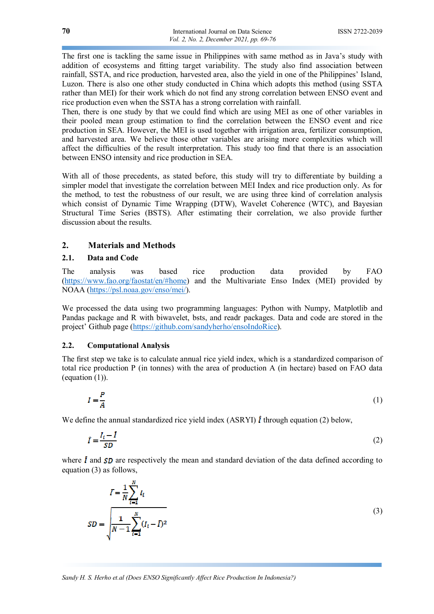The first one is tackling the same issue in Philippines with same method as in Java's study with addition of ecosystems and fitting target variability. The study also find association between rainfall, SSTA, and rice production, harvested area, also the yield in one of the Philippines' Island, Luzon. There is also one other study conducted in China which adopts this method (using SSTA rather than MEI) for their work which do not find any strong correlation between ENSO event and rice production even when the SSTA has a strong correlation with rainfall.

Then, there is one study by that we could find which are using MEI as one of other variables in their pooled mean group estimation to find the correlation between the ENSO event and rice production in SEA. However, the MEI is used together with irrigation area, fertilizer consumption, and harvested area. We believe those other variables are arising more complexities which will affect the difficulties of the result interpretation. This study too find that there is an association between ENSO intensity and rice production in SEA.

With all of those precedents, as stated before, this study will try to differentiate by building a simpler model that investigate the correlation between MEI Index and rice production only. As for the method, to test the robustness of our result, we are using three kind of correlation analysis which consist of Dynamic Time Wrapping (DTW), Wavelet Coherence (WTC), and Bayesian Structural Time Series (BSTS). After estimating their correlation, we also provide further discussion about the results.

### **2. Materials and Methods**

#### **2.1. Data and Code**

The analysis was based rice production data provided by FAO (https://www.fao.org/faostat/en/#home) and the Multivariate Enso Index (MEI) provided by NOAA (https://psl.noaa.gov/enso/mei/).

We processed the data using two programming languages: Python with Numpy, Matplotlib and Pandas package and R with biwavelet, bsts, and readr packages. Data and code are stored in the project' Github page (https://github.com/sandyherho/ensoIndoRice).

#### **2.2. Computational Analysis**

The first step we take is to calculate annual rice yield index, which is a standardized comparison of total rice production P (in tonnes) with the area of production A (in hectare) based on FAO data (equation (1)).

$$
I = \frac{P}{A} \tag{1}
$$

We define the annual standardized rice yield index (ASRYI)  $\hat{I}$  through equation (2) below,

$$
\hat{I} = \frac{I_t - \bar{I}}{SD} \tag{2}
$$

where  $\bar{l}$  and  $SD$  are respectively the mean and standard deviation of the data defined according to equation (3) as follows,

$$
\bar{I} = \frac{1}{N} \sum_{i=1}^{N} I_i
$$
  

$$
SD = \sqrt{\frac{1}{N-1} \sum_{i=1}^{N} (I_i - \bar{I})^2}
$$
 (3)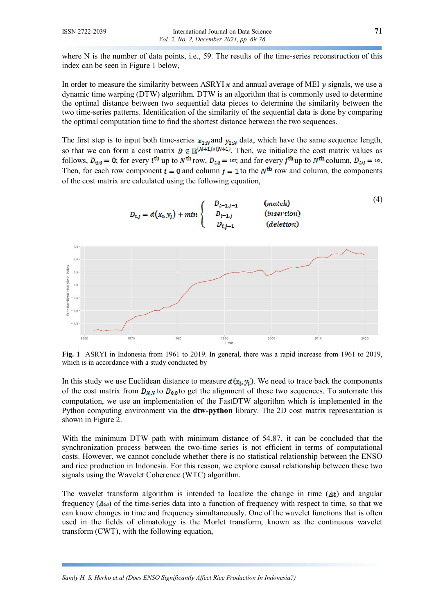where N is the number of data points, i.e., 59. The results of the time-series reconstruction of this index can be seen in Figure 1 below,

In order to measure the similarity between ASRYI  $x$  and annual average of MEI  $\gamma$  signals, we use a dynamic time warping (DTW) algorithm. DTW is an algorithm that is commonly used to determine the optimal distance between two sequential data pieces to determine the similarity between the two time-series patterns. Identification of the similarity of the sequential data is done by comparing the optimal computation time to find the shortest distance between the two sequences.

The first step is to input both time-series  $x_{1:N}$  and  $y_{1:N}$  data, which have the same sequence length, so that we can form a cost matrix  $D \in \mathbb{R}^{(N+1)\times(N+1)}$ . Then, we initialize the cost matrix values as follows,  $D_{0,0} = 0$ ; for every i<sup>th</sup> up to  $N^{\text{th}}$  row,  $D_{i,0} = \infty$ ; and for every j<sup>th</sup> up to  $N^{\text{th}}$  column,  $D_{i,0} = \infty$ . Then, for each row component  $i = 0$  and column  $j = 1$  to the  $N^{\text{th}}$  row and column, the components of the cost matrix are calculated using the following equation,



**Fig. 1** ASRYI in Indonesia from 1961 to 2019. In general, there was a rapid increase from 1961 to 2019, which is in accordance with a study conducted by

In this study we use Euclidean distance to measure  $d(x_i, y_i)$ . We need to trace back the components of the cost matrix from  $D_{N,N}$  to  $D_{0,0}$  to get the alignment of these two sequences. To automate this computation, we use an implementation of the FastDTW algorithm which is implemented in the Python computing environment via the **dtw-python** library. The 2D cost matrix representation is shown in Figure 2.

With the minimum DTW path with minimum distance of 54.87, it can be concluded that the synchronization process between the two-time series is not efficient in terms of computational costs. However, we cannot conclude whether there is no statistical relationship between the ENSO and rice production in Indonesia. For this reason, we explore causal relationship between these two signals using the Wavelet Coherence (WTC) algorithm.

The wavelet transform algorithm is intended to localize the change in time  $(\Delta t)$  and angular frequency  $(\Delta\omega)$  of the time-series data into a function of frequency with respect to time, so that we can know changes in time and frequency simultaneously. One of the wavelet functions that is often used in the fields of climatology is the Morlet transform, known as the continuous wavelet transform (CWT), with the following equation,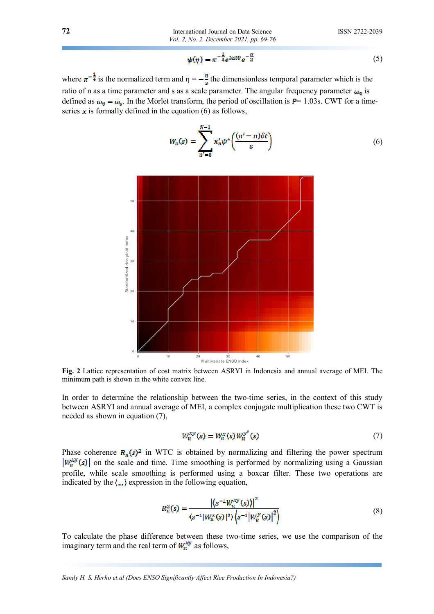$$
\psi(\eta) = \pi^{-\frac{1}{4}} e^{i\omega t \partial} e^{-\frac{\eta}{2}} \tag{5}
$$

where  $\pi^{-\frac{1}{4}}$  is the normalized term and  $\eta = -\frac{\eta}{s}$  the dimensionless temporal parameter which is the ratio of n as a time parameter and s as a scale parameter. The angular frequency parameter  $\omega_0$  is defined as  $\omega_0 = \omega_s$ . In the Morlet transform, the period of oscillation is  $P = 1.03$ s. CWT for a timeseries  $x$  is formally defined in the equation (6) as follows,

$$
W_n(s) = \sum_{n'=0}^{N-1} x'_n \psi^* \left( \frac{(n'-n)\delta t}{s} \right) \tag{6}
$$



**Fig. 2** Lattice representation of cost matrix between ASRYI in Indonesia and annual average of MEI. The minimum path is shown in the white convex line.

In order to determine the relationship between the two-time series, in the context of this study between ASRYI and annual average of MEI, a complex conjugate multiplication these two CWT is needed as shown in equation (7),

$$
W_n^{xy}(s) = W_n^x(s)W_n^{y^*}(s)
$$
\n<sup>(7)</sup>

Phase coherence  $R_n(s)^2$  in WTC is obtained by normalizing and filtering the power spectrum  $|W_n^{xy}(s)|$  on the scale and time. Time smoothing is performed by normalizing using a Gaussian profile, while scale smoothing is performed using a boxcar filter. These two operations are indicated by the  $\langle \dots \rangle$  expression in the following equation,

$$
R_n^2(s) = \frac{|\langle s^{-1}W_n^{xy}(s)\rangle|^2}{\langle s^{-1}|W_n^{x}(s)|^2\rangle\langle s^{-1}|W_n^{y}(s)|^2\rangle}
$$
(8)

To calculate the phase difference between these two-time series, we use the comparison of the imaginary term and the real term of  $W_n^{xy}$  as follows,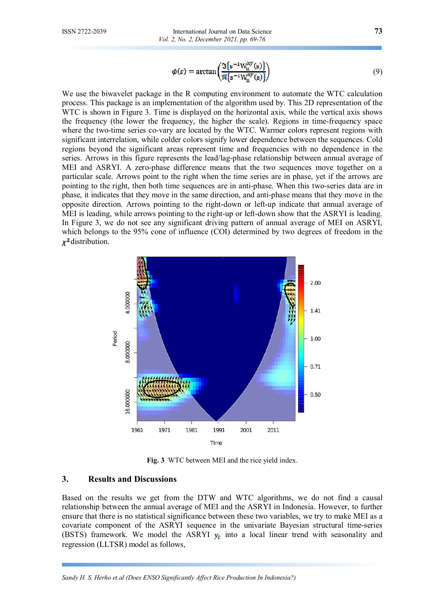$$
\phi(s) = \arctan\left(\frac{\Im\{s^{-1}W_n^{xy}(s)\}}{\Re\{s^{-1}W_n^{xy}(s)\}}\right) \tag{9}
$$

We use the biwavelet package in the R computing environment to automate the WTC calculation process. This package is an implementation of the algorithm used by. This 2D representation of the WTC is shown in Figure 3. Time is displayed on the horizontal axis, while the vertical axis shows the frequency (the lower the frequency, the higher the scale). Regions in time-frequency space where the two-time series co-vary are located by the WTC. Warmer colors represent regions with significant interrelation, while colder colors signify lower dependence between the sequences. Cold regions beyond the significant areas represent time and frequencies with no dependence in the series. Arrows in this figure represents the lead/lag-phase relationship between annual average of MEI and ASRYI. A zero-phase difference means that the two sequences move together on a particular scale. Arrows point to the right when the time series are in phase, yet if the arrows are pointing to the right, then both time sequences are in anti-phase. When this two-series data are in phase, it indicates that they move in the same direction, and anti-phase means that they move in the opposite direction. Arrows pointing to the right-down or left-up indicate that annual average of MEI is leading, while arrows pointing to the right-up or left-down show that the ASRYI is leading. In Figure 3, we do not see any significant driving pattern of annual average of MEI on ASRYI, which belongs to the 95% cone of influence (COI) determined by two degrees of freedom in the  $x^2$  distribution.



**Fig. 3** WTC between MEI and the rice yield index.

#### **3. Results and Discussions**

Based on the results we get from the DTW and WTC algorithms, we do not find a causal relationship between the annual average of MEI and the ASRYI in Indonesia. However, to further ensure that there is no statistical significance between these two variables, we try to make MEI as a covariate component of the ASRYI sequence in the univariate Bayesian structural time-series (BSTS) framework. We model the ASRYI  $y_t$  into a local linear trend with seasonality and regression (LLTSR) model as follows,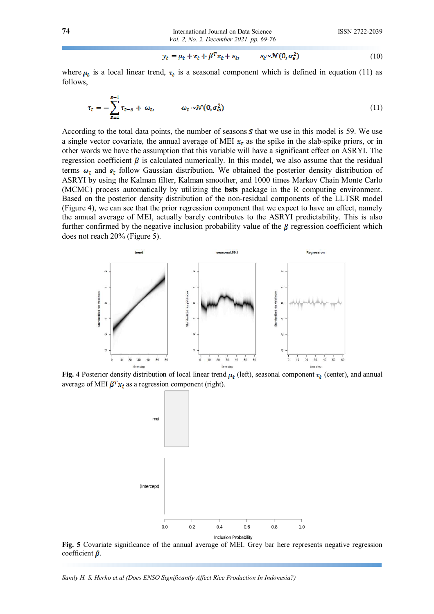$$
y_t = \mu_t + \tau_t + \beta^T x_t + \varepsilon_t, \qquad \varepsilon_t \sim \mathcal{N}(0, \sigma_s^2) \tag{10}
$$

where  $\mu_t$  is a local linear trend,  $\tau_t$  is a seasonal component which is defined in equation (11) as follows,

$$
\tau_t = -\sum_{s=1}^{S-1} \tau_{t-s} + \omega_t, \qquad \omega_t \sim \mathcal{N}(0, \sigma_\omega^2)
$$
\n(11)

According to the total data points, the number of seasons  $S$  that we use in this model is 59. We use a single vector covariate, the annual average of MEI  $x_t$  as the spike in the slab-spike priors, or in other words we have the assumption that this variable will have a significant effect on ASRYI. The regression coefficient  $\beta$  is calculated numerically. In this model, we also assume that the residual terms  $\omega_{\tau}$  and  $\varepsilon_{t}$  follow Gaussian distribution. We obtained the posterior density distribution of ASRYI by using the Kalman filter, Kalman smoother, and 1000 times Markov Chain Monte Carlo (MCMC) process automatically by utilizing the **bsts** package in the R computing environment. Based on the posterior density distribution of the non-residual components of the LLTSR model (Figure 4), we can see that the prior regression component that we expect to have an effect, namely the annual average of MEI, actually barely contributes to the ASRYI predictability. This is also further confirmed by the negative inclusion probability value of the  $\beta$  regression coefficient which does not reach 20% (Figure 5).



**Fig. 4** Posterior density distribution of local linear trend  $\mu_t$  (left), seasonal component  $\tau_t$  (center), and annual average of MEI  $\beta^{T} x_t$  as a regression component (right).



**Fig. 5** Covariate significance of the annual average of MEI. Grey bar here represents negative regression coefficient  $\beta$ .

*Sandy H. S. Herho et.al (Does ENSO Significantly Affect Rice Production In Indonesia?)*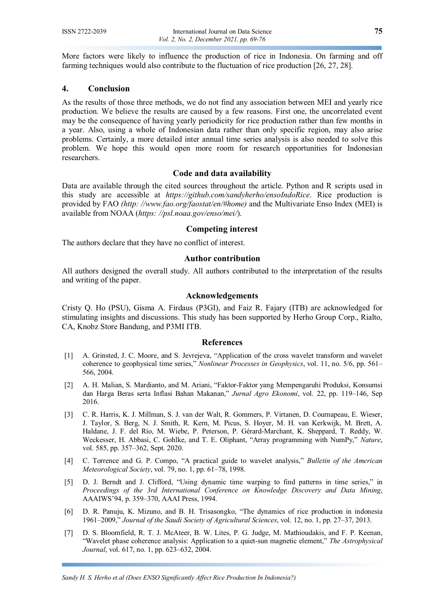More factors were likely to influence the production of rice in Indonesia. On farming and off farming techniques would also contribute to the fluctuation of rice production [26, 27, 28].

## **4. Conclusion**

As the results of those three methods, we do not find any association between MEI and yearly rice production. We believe the results are caused by a few reasons. First one, the uncorrelated event may be the consequence of having yearly periodicity for rice production rather than few months in a year. Also, using a whole of Indonesian data rather than only specific region, may also arise problems. Certainly, a more detailed inter annual time series analysis is also needed to solve this problem. We hope this would open more room for research opportunities for Indonesian researchers.

### **Code and data availability**

Data are available through the cited sources throughout the article. Python and R scripts used in this study are accessible at *https://github.com/sandyherho/ensoIndoRice*. Rice production is provided by FAO *(http: //www.fao.org/faostat/en/#home)* and the Multivariate Enso Index (MEI) is available from NOAA (*https: //psl.noaa.gov/enso/mei/*).

#### **Competing interest**

The authors declare that they have no conflict of interest.

#### **Author contribution**

All authors designed the overall study. All authors contributed to the interpretation of the results and writing of the paper.

#### **Acknowledgements**

Cristy Q. Ho (PSU), Gisma A. Firdaus (P3GI), and Faiz R. Fajary (ITB) are acknowledged for stimulating insights and discussions. This study has been supported by Herho Group Corp., Rialto, CA, Knobz Store Bandung, and P3MI ITB.

#### **References**

- [1] A. Grinsted, J. C. Moore, and S. Jevrejeva, "Application of the cross wavelet transform and wavelet coherence to geophysical time series," *Nonlinear Processes in Geophysics*, vol. 11, no. 5/6, pp. 561– 566, 2004.
- [2] A. H. Malian, S. Mardianto, and M. Ariani, "Faktor-Faktor yang Mempengaruhi Produksi, Konsumsi dan Harga Beras serta Inflasi Bahan Makanan," *Jurnal Agro Ekonomi*, vol. 22, pp. 119–146, Sep 2016.
- [3] C. R. Harris, K. J. Millman, S. J. van der Walt, R. Gommers, P. Virtanen, D. Cournapeau, E. Wieser, J. Taylor, S. Berg, N. J. Smith, R. Kern, M. Picus, S. Hoyer, M. H. van Kerkwijk, M. Brett, A. Haldane, J. F. del Río, M. Wiebe, P. Peterson, P. Gérard-Marchant, K. Sheppard, T. Reddy, W. Weckesser, H. Abbasi, C. Gohlke, and T. E. Oliphant, "Array programming with NumPy," *Nature*, vol. 585, pp. 357–362, Sept. 2020.
- [4] C. Torrence and G. P. Compo, "A practical guide to wavelet analysis," *Bulletin of the American Meteorological Society*, vol. 79, no. 1, pp. 61–78, 1998.
- [5] D. J. Berndt and J. Clifford, "Using dynamic time warping to find patterns in time series," in *Proceedings of the 3rd International Conference on Knowledge Discovery and Data Mining*, AAAIWS'94, p. 359–370, AAAI Press, 1994.
- [6] D. R. Panuju, K. Mizuno, and B. H. Trisasongko, "The dynamics of rice production in indonesia 1961–2009," *Journal of the Saudi Society of Agricultural Sciences*, vol. 12, no. 1, pp. 27–37, 2013.
- [7] D. S. Bloomfield, R. T. J. McAteer, B. W. Lites, P. G. Judge, M. Mathioudakis, and F. P. Keenan, "Wavelet phase coherence analysis: Application to a quiet-sun magnetic element," *The Astrophysical Journal*, vol. 617, no. 1, pp. 623–632, 2004.